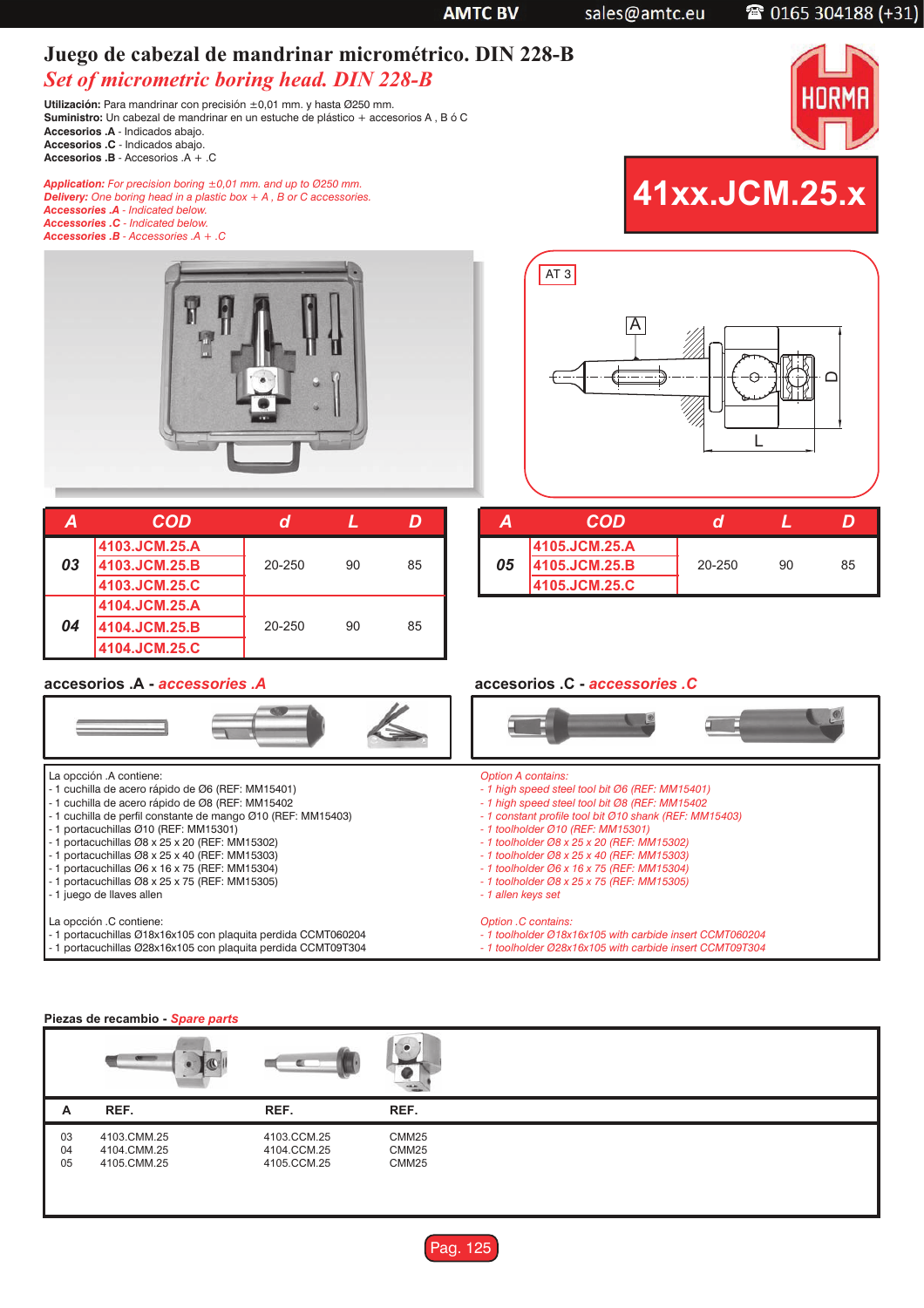|    | Juego de cabezal de mandrinar micrométrico. DIN 228-B<br><b>Set of micrometric boring head. DIN 228-B</b><br>Utilización: Para mandrinar con precisión ±0,01 mm. y hasta Ø250 mm.<br>Suministro: Un cabezal de mandrinar en un estuche de plástico + accesorios A, B ó C<br>Accesorios .A - Indicados abajo.<br>Accesorios .C - Indicados abajo.<br>Accesorios .B - Accesorios .A $+$ .C                                                                                                                             |                       |                           |                                                                                                                                                                                                                                                                                                                                                                                                                                             |                            |
|----|----------------------------------------------------------------------------------------------------------------------------------------------------------------------------------------------------------------------------------------------------------------------------------------------------------------------------------------------------------------------------------------------------------------------------------------------------------------------------------------------------------------------|-----------------------|---------------------------|---------------------------------------------------------------------------------------------------------------------------------------------------------------------------------------------------------------------------------------------------------------------------------------------------------------------------------------------------------------------------------------------------------------------------------------------|----------------------------|
|    | <b>Application:</b> For precision boring $\pm 0.01$ mm. and up to 0250 mm.<br><b>Delivery:</b> One boring head in a plastic box $+ A$ , B or C accessories.<br>Accessories .A - Indicated below.<br><b>Accessories .C</b> - Indicated below.<br>Accessories $.B - Accessories A + .C$                                                                                                                                                                                                                                |                       |                           |                                                                                                                                                                                                                                                                                                                                                                                                                                             | 41xx.JCM.25.x              |
|    |                                                                                                                                                                                                                                                                                                                                                                                                                                                                                                                      |                       |                           | AT <sub>3</sub><br>$\overline{\mathsf{A}}$                                                                                                                                                                                                                                                                                                                                                                                                  | L                          |
| Α  | <b>COD</b>                                                                                                                                                                                                                                                                                                                                                                                                                                                                                                           | $\boldsymbol{d}$<br>L | D                         | <b>COD</b><br>A                                                                                                                                                                                                                                                                                                                                                                                                                             | $\boldsymbol{d}$<br>L<br>D |
| 03 | 4103.JCM.25.A<br>4103.JCM.25.B<br>4103.JCM.25.C                                                                                                                                                                                                                                                                                                                                                                                                                                                                      | 20-250<br>90          | 85                        | 4105.JCM.25.A<br>05<br>4105.JCM.25.B<br>4105.JCM.25.C                                                                                                                                                                                                                                                                                                                                                                                       | 20-250<br>90<br>85         |
| 04 | 4104.JCM.25.A<br>4104.JCM.25.B<br>4104.JCM.25.C                                                                                                                                                                                                                                                                                                                                                                                                                                                                      | 20-250<br>90          | 85                        |                                                                                                                                                                                                                                                                                                                                                                                                                                             |                            |
|    | accesorios .A - accessories .A                                                                                                                                                                                                                                                                                                                                                                                                                                                                                       |                       |                           | accesorios .C - accessories .C                                                                                                                                                                                                                                                                                                                                                                                                              |                            |
|    |                                                                                                                                                                                                                                                                                                                                                                                                                                                                                                                      |                       |                           |                                                                                                                                                                                                                                                                                                                                                                                                                                             |                            |
|    | La opcción .A contiene:<br>- 1 cuchilla de acero rápido de Ø6 (REF: MM15401)<br>- 1 cuchilla de acero rápido de Ø8 (REF: MM15402<br>- 1 cuchilla de perfil constante de mango Ø10 (REF: MM15403)<br>- 1 portacuchillas Ø10 (REF: MM15301)<br>- 1 portacuchillas $\varnothing$ 8 x 25 x 20 (REF: MM15302)<br>- 1 portacuchillas Ø8 x 25 x 40 (REF: MM15303)<br>- 1 portacuchillas $\varnothing6$ x 16 x 75 (REF: MM15304)<br>- 1 portacuchillas $\varnothing$ 8 x 25 x 75 (REF: MM15305)<br>- 1 juego de llaves allen |                       |                           | <b>Option A contains:</b><br>- 1 high speed steel tool bit Ø6 (REF: MM15401)<br>- 1 high speed steel tool bit Ø8 (REF: MM15402<br>- 1 constant profile tool bit Ø10 shank (REF: MM15403)<br>- 1 toolholder Ø10 (REF: MM15301)<br>- 1 toolholder Ø8 x 25 x 20 (REF: MM15302)<br>- 1 toolholder Ø8 x 25 x 40 (REF: MM15303)<br>- 1 toolholder Ø6 x 16 x 75 (REF: MM15304)<br>- 1 toolholder Ø8 x 25 x 75 (REF: MM15305)<br>- 1 allen keys set |                            |
|    | La opcción .C contiene:<br>- 1 portacuchillas Ø18x16x105 con plaquita perdida CCMT060204<br>- 1 portacuchillas Ø28x16x105 con plaquita perdida CCMT09T304                                                                                                                                                                                                                                                                                                                                                            |                       |                           | Option .C contains:<br>- 1 toolholder Ø18x16x105 with carbide insert CCMT060204<br>- 1 toolholder Ø28x16x105 with carbide insert CCMT09T304                                                                                                                                                                                                                                                                                                 |                            |
|    |                                                                                                                                                                                                                                                                                                                                                                                                                                                                                                                      |                       |                           |                                                                                                                                                                                                                                                                                                                                                                                                                                             |                            |
|    | Piezas de recambio - Spare parts                                                                                                                                                                                                                                                                                                                                                                                                                                                                                     |                       |                           |                                                                                                                                                                                                                                                                                                                                                                                                                                             |                            |
|    |                                                                                                                                                                                                                                                                                                                                                                                                                                                                                                                      |                       |                           |                                                                                                                                                                                                                                                                                                                                                                                                                                             |                            |
| Α  | REF.<br>4103.CMM.25                                                                                                                                                                                                                                                                                                                                                                                                                                                                                                  | REF.                  | REF.<br>CMM <sub>25</sub> |                                                                                                                                                                                                                                                                                                                                                                                                                                             |                            |
| 03 |                                                                                                                                                                                                                                                                                                                                                                                                                                                                                                                      | 4103.CCM.25           |                           |                                                                                                                                                                                                                                                                                                                                                                                                                                             |                            |

**AMTC BV** 

sales@amtc.eu

CMM25 CMM25

04 05 4104.CMM.25 4105.CMM.25 4104.CCM.25 4105.CCM.25

## 2 0165 304188 (+31)